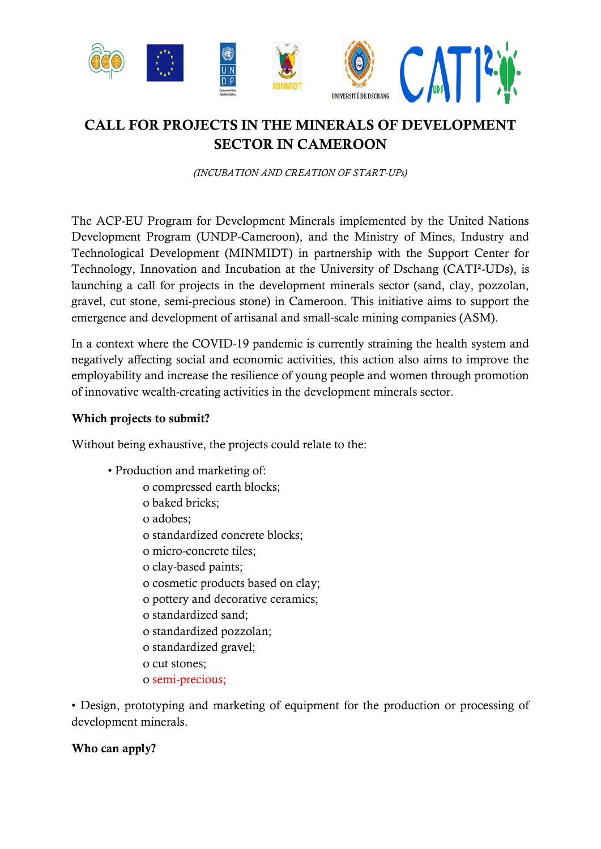

# **CALL FOR PROJECTS IN THE MINERALS OF DEVELOPMENT SECTOR IN CAMEROON**

*(INCUBATION AND CREATION OF START-UPs)*

The ACP-EU Program for Development Minerals implemented by the United Nations Development Program (UNDP-Cameroon), and the Ministry of Mines, Industry and Technological Development (MINMIDT) in partnership with the Support Center for Technology, Innovation and Incubation at the University of Dschang (CATI²-UDs), is launching a call for projects in the development minerals sector (sand, clay, pozzolan, gravel, cut stone, semi-precious stone) in Cameroon. This initiative aims to support the emergence and development of artisanal and small-scale mining companies (ASM).

In a context where the COVID-19 pandemic is currently straining the health system and negatively affecting social and economic activities, this action also aims to improve the employability and increase the resilience of young people and women through promotion of innovative wealth-creating activities in the development minerals sector.

#### **Which projects to submit?**

Without being exhaustive, the projects could relate to the:

- Production and marketing of:
	- o compressed earth blocks;
	- o baked bricks;
	- o adobes;
	- o standardized concrete blocks;
	- o micro-concrete tiles;
	- o clay-based paints;
	- o cosmetic products based on clay;
	- o pottery and decorative ceramics;
	- o standardized sand;
	- o standardized pozzolan;
	- o standardized gravel;
	- o cut stones;
	- o semi-precious;

• Design, prototyping and marketing of equipment for the production or processing of development minerals.

## **Who can apply?**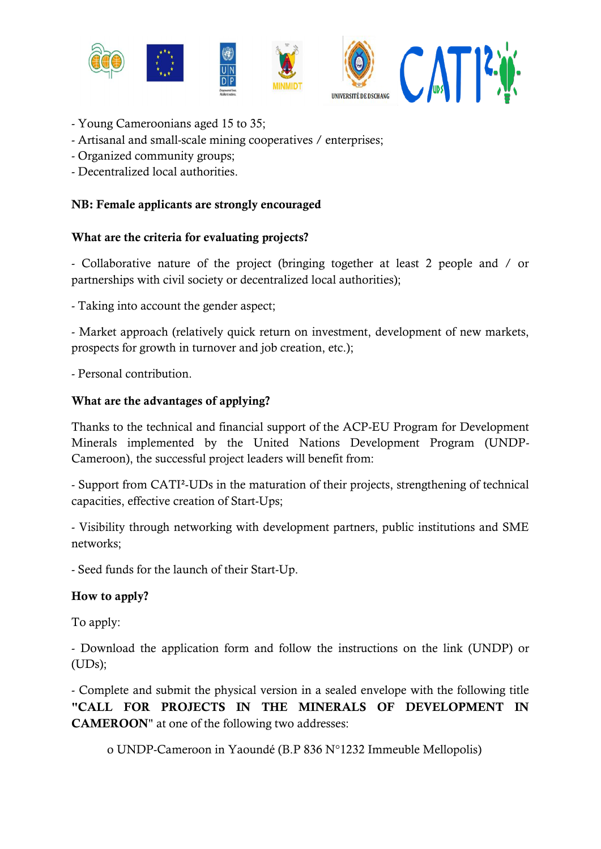

- Young Cameroonians aged 15 to 35;
- Artisanal and small-scale mining cooperatives / enterprises;
- Organized community groups;
- Decentralized local authorities.

# **NB: Female applicants are strongly encouraged**

#### **What are the criteria for evaluating projects?**

- Collaborative nature of the project (bringing together at least 2 people and / or partnerships with civil society or decentralized local authorities);

- Taking into account the gender aspect;

- Market approach (relatively quick return on investment, development of new markets, prospects for growth in turnover and job creation, etc.);

- Personal contribution.

## **What are the advantages of applying?**

Thanks to the technical and financial support of the ACP-EU Program for Development Minerals implemented by the United Nations Development Program (UNDP-Cameroon), the successful project leaders will benefit from:

- Support from CATI²-UDs in the maturation of their projects, strengthening of technical capacities, effective creation of Start-Ups;

- Visibility through networking with development partners, public institutions and SME networks;

- Seed funds for the launch of their Start-Up.

## **How to apply?**

To apply:

- Download the application form and follow the instructions on the link (UNDP) or (UDs);

- Complete and submit the physical version in a sealed envelope with the following title **"CALL FOR PROJECTS IN THE MINERALS OF DEVELOPMENT IN CAMEROON**" at one of the following two addresses:

o UNDP-Cameroon in Yaoundé (B.P 836 N°1232 Immeuble Mellopolis)